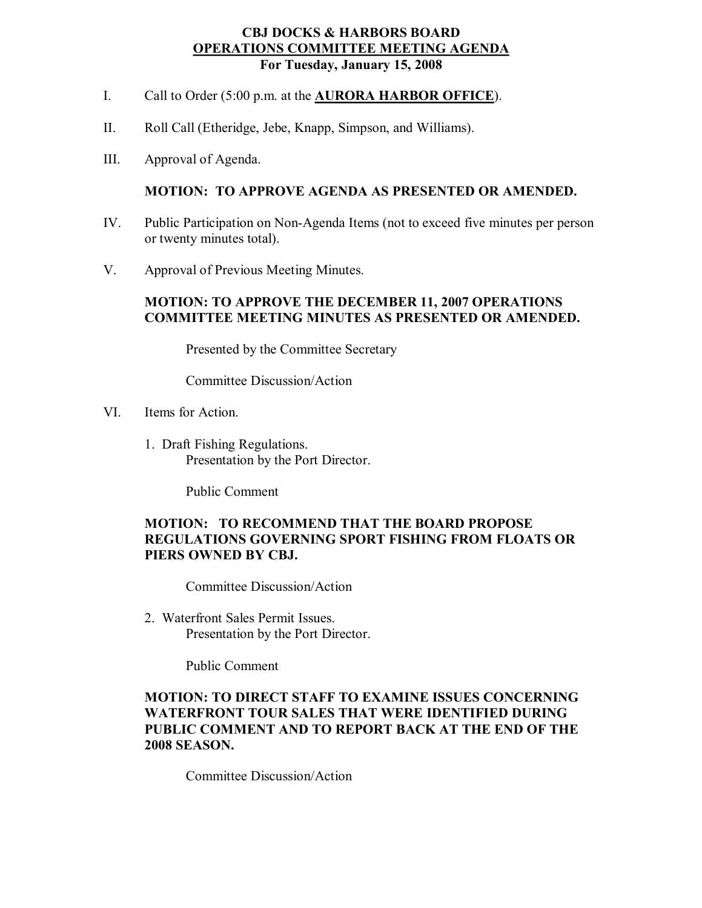#### **CBJ DOCKS & HARBORS BOARD OPERATIONS COMMITTEE MEETING AGENDA For Tuesday, January 15, 2008**

- I. Call to Order (5:00 p.m. at the **AURORA HARBOR OFFICE**).
- II. Roll Call (Etheridge, Jebe, Knapp, Simpson, and Williams).
- III. Approval of Agenda.

## **MOTION: TO APPROVE AGENDA AS PRESENTED OR AMENDED.**

- IV. Public Participation on Non-Agenda Items (not to exceed five minutes per person or twenty minutes total).
- V. Approval of Previous Meeting Minutes.

## **MOTION: TO APPROVE THE DECEMBER 11, 2007 OPERATIONS COMMITTEE MEETING MINUTES AS PRESENTED OR AMENDED.**

Presented by the Committee Secretary

Committee Discussion/Action

- VI. Items for Action.
	- 1. Draft Fishing Regulations. Presentation by the Port Director.

Public Comment

# **MOTION: TO RECOMMEND THAT THE BOARD PROPOSE REGULATIONS GOVERNING SPORT FISHING FROM FLOATS OR PIERS OWNED BY CBJ.**

Committee Discussion/Action

2. Waterfront Sales Permit Issues. Presentation by the Port Director.

Public Comment

## **MOTION: TO DIRECT STAFF TO EXAMINE ISSUES CONCERNING WATERFRONT TOUR SALES THAT WERE IDENTIFIED DURING PUBLIC COMMENT AND TO REPORT BACK AT THE END OF THE 2008 SEASON.**

Committee Discussion/Action